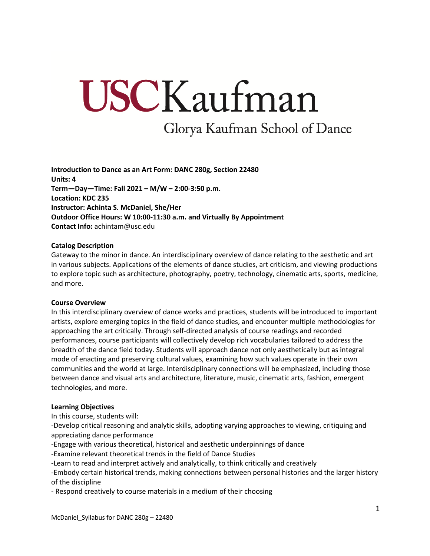# USCKaufman

Glorya Kaufman School of Dance

**Introduction to Dance as an Art Form: DANC 280g, Section 22480 Units: 4 Term—Day—Time: Fall 2021 – M/W – 2:00-3:50 p.m. Location: KDC 235 Instructor: Achinta S. McDaniel, She/Her Outdoor Office Hours: W 10:00-11:30 a.m. and Virtually By Appointment Contact Info:** achintam@usc.edu

#### **Catalog Description**

Gateway to the minor in dance. An interdisciplinary overview of dance relating to the aesthetic and art in various subjects. Applications of the elements of dance studies, art criticism, and viewing productions to explore topic such as architecture, photography, poetry, technology, cinematic arts, sports, medicine, and more.

#### **Course Overview**

In this interdisciplinary overview of dance works and practices, students will be introduced to important artists, explore emerging topics in the field of dance studies, and encounter multiple methodologies for approaching the art critically. Through self-directed analysis of course readings and recorded performances, course participants will collectively develop rich vocabularies tailored to address the breadth of the dance field today. Students will approach dance not only aesthetically but as integral mode of enacting and preserving cultural values, examining how such values operate in their own communities and the world at large. Interdisciplinary connections will be emphasized, including those between dance and visual arts and architecture, literature, music, cinematic arts, fashion, emergent technologies, and more.

#### **Learning Objectives**

In this course, students will:

-Develop critical reasoning and analytic skills, adopting varying approaches to viewing, critiquing and appreciating dance performance

- -Engage with various theoretical, historical and aesthetic underpinnings of dance
- -Examine relevant theoretical trends in the field of Dance Studies
- -Learn to read and interpret actively and analytically, to think critically and creatively

-Embody certain historical trends, making connections between personal histories and the larger history of the discipline

- Respond creatively to course materials in a medium of their choosing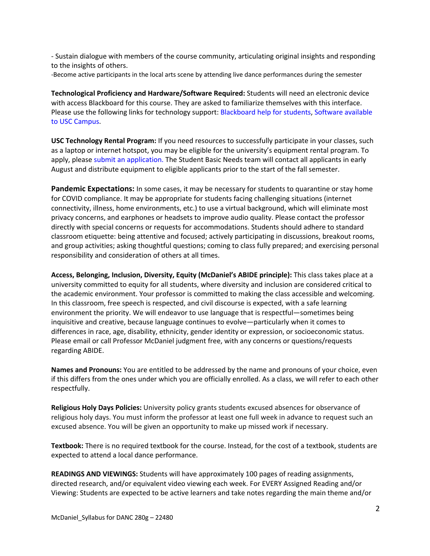- Sustain dialogue with members of the course community, articulating original insights and responding to the insights of others.

-Become active participants in the local arts scene by attending live dance performances during the semester

**Technological Proficiency and Hardware/Software Required:** Students will need an electronic device with access Blackboard for this course. They are asked to familiarize themselves with this interface. Please use the following links for technology support: Blackboard help for students, Software available to USC Campus.

**USC Technology Rental Program:** If you need resources to successfully participate in your classes, such as a laptop or internet hotspot, you may be eligible for the university's equipment rental program. To apply, please submit an application. The Student Basic Needs team will contact all applicants in early August and distribute equipment to eligible applicants prior to the start of the fall semester.

**Pandemic Expectations:** In some cases, it may be necessary for students to quarantine or stay home for COVID compliance. It may be appropriate for students facing challenging situations (internet connectivity, illness, home environments, etc.) to use a virtual background, which will eliminate most privacy concerns, and earphones or headsets to improve audio quality. Please contact the professor directly with special concerns or requests for accommodations. Students should adhere to standard classroom etiquette: being attentive and focused; actively participating in discussions, breakout rooms, and group activities; asking thoughtful questions; coming to class fully prepared; and exercising personal responsibility and consideration of others at all times.

**Access, Belonging, Inclusion, Diversity, Equity (McDaniel's ABIDE principle):** This class takes place at a university committed to equity for all students, where diversity and inclusion are considered critical to the academic environment. Your professor is committed to making the class accessible and welcoming. In this classroom, free speech is respected, and civil discourse is expected, with a safe learning environment the priority. We will endeavor to use language that is respectful—sometimes being inquisitive and creative, because language continues to evolve—particularly when it comes to differences in race, age, disability, ethnicity, gender identity or expression, or socioeconomic status. Please email or call Professor McDaniel judgment free, with any concerns or questions/requests regarding ABIDE.

**Names and Pronouns:** You are entitled to be addressed by the name and pronouns of your choice, even if this differs from the ones under which you are officially enrolled. As a class, we will refer to each other respectfully.

**Religious Holy Days Policies:** University policy grants students excused absences for observance of religious holy days. You must inform the professor at least one full week in advance to request such an excused absence. You will be given an opportunity to make up missed work if necessary.

**Textbook:** There is no required textbook for the course. Instead, for the cost of a textbook, students are expected to attend a local dance performance.

**READINGS AND VIEWINGS:** Students will have approximately 100 pages of reading assignments, directed research, and/or equivalent video viewing each week. For EVERY Assigned Reading and/or Viewing: Students are expected to be active learners and take notes regarding the main theme and/or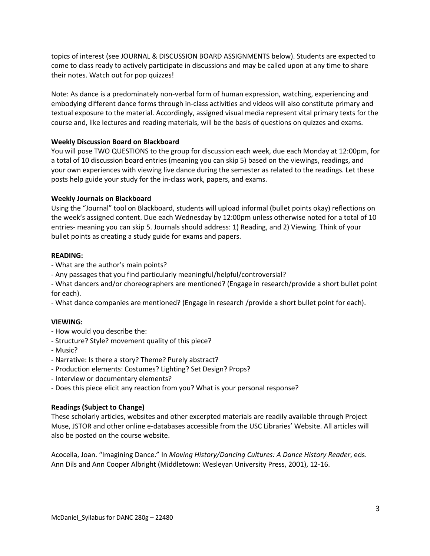topics of interest (see JOURNAL & DISCUSSION BOARD ASSIGNMENTS below). Students are expected to come to class ready to actively participate in discussions and may be called upon at any time to share their notes. Watch out for pop quizzes!

Note: As dance is a predominately non-verbal form of human expression, watching, experiencing and embodying different dance forms through in-class activities and videos will also constitute primary and textual exposure to the material. Accordingly, assigned visual media represent vital primary texts for the course and, like lectures and reading materials, will be the basis of questions on quizzes and exams.

## **Weekly Discussion Board on Blackboard**

You will pose TWO QUESTIONS to the group for discussion each week, due each Monday at 12:00pm, for a total of 10 discussion board entries (meaning you can skip 5) based on the viewings, readings, and your own experiences with viewing live dance during the semester as related to the readings. Let these posts help guide your study for the in-class work, papers, and exams.

#### **Weekly Journals on Blackboard**

Using the "Journal" tool on Blackboard, students will upload informal (bullet points okay) reflections on the week's assigned content. Due each Wednesday by 12:00pm unless otherwise noted for a total of 10 entries- meaning you can skip 5. Journals should address: 1) Reading, and 2) Viewing. Think of your bullet points as creating a study guide for exams and papers.

## **READING:**

- What are the author's main points?
- Any passages that you find particularly meaningful/helpful/controversial?
- What dancers and/or choreographers are mentioned? (Engage in research/provide a short bullet point for each).

- What dance companies are mentioned? (Engage in research /provide a short bullet point for each).

#### **VIEWING:**

- How would you describe the:
- Structure? Style? movement quality of this piece?
- Music?
- Narrative: Is there a story? Theme? Purely abstract?
- Production elements: Costumes? Lighting? Set Design? Props?
- Interview or documentary elements?
- Does this piece elicit any reaction from you? What is your personal response?

## **Readings (Subject to Change)**

These scholarly articles, websites and other excerpted materials are readily available through Project Muse, JSTOR and other online e-databases accessible from the USC Libraries' Website. All articles will also be posted on the course website.

Acocella, Joan. "Imagining Dance." In *Moving History/Dancing Cultures: A Dance History Reader*, eds. Ann Dils and Ann Cooper Albright (Middletown: Wesleyan University Press, 2001), 12-16.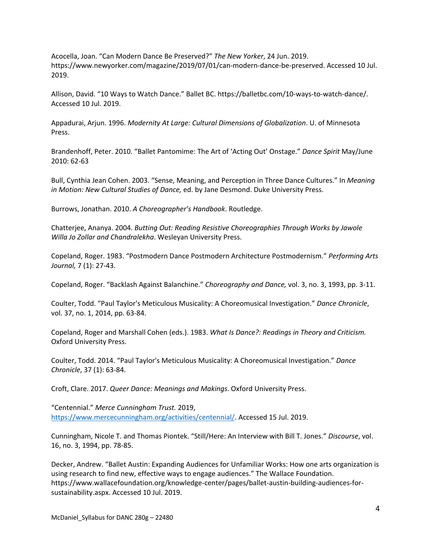Acocella, Joan. "Can Modern Dance Be Preserved?" *The New Yorker*, 24 Jun. 2019. https://www.newyorker.com/magazine/2019/07/01/can-modern-dance-be-preserved. Accessed 10 Jul. 2019.

Allison, David. "10 Ways to Watch Dance." Ballet BC. https://balletbc.com/10-ways-to-watch-dance/. Accessed 10 Jul. 2019.

Appadurai, Arjun. 1996. *Modernity At Large: Cultural Dimensions of Globalization*. U. of Minnesota Press.

Brandenhoff, Peter. 2010. "Ballet Pantomime: The Art of 'Acting Out' Onstage." *Dance Spirit* May/June 2010: 62-63

Bull, Cynthia Jean Cohen. 2003. "Sense, Meaning, and Perception in Three Dance Cultures." In *Meaning in Motion: New Cultural Studies of Dance,* ed. by Jane Desmond. Duke University Press.

Burrows, Jonathan. 2010. *A Choreographer's Handbook*. Routledge.

Chatterjee, Ananya. 2004. *Butting Out: Reading Resistive Choreographies Through Works by Jawole Willa Jo Zollar and Chandralekha*. Wesleyan University Press.

Copeland, Roger. 1983. "Postmodern Dance Postmodern Architecture Postmodernism." *Performing Arts Journal,* 7 (1): 27-43.

Copeland, Roger. "Backlash Against Balanchine." *Choreography and Dance,* vol. 3, no. 3, 1993, pp. 3-11.

Coulter, Todd. "Paul Taylor's Meticulous Musicality: A Choreomusical Investigation." *Dance Chronicle*, vol. 37, no. 1, 2014, pp. 63-84.

Copeland, Roger and Marshall Cohen (eds.). 1983. *What Is Dance?: Readings in Theory and Criticism.*  Oxford University Press.

Coulter, Todd. 2014. "Paul Taylor's Meticulous Musicality: A Choreomusical Investigation." *Dance Chronicle*, 37 (1): 63-84.

Croft, Clare. 2017. *Queer Dance: Meanings and Makings*. Oxford University Press.

"Centennial." *Merce Cunningham Trust.* 2019, https://www.mercecunningham.org/activities/centennial/. Accessed 15 Jul. 2019.

Cunningham, Nicole T. and Thomas Piontek. "Still/Here: An Interview with Bill T. Jones." *Discourse*, vol. 16, no. 3, 1994, pp. 78-85.

Decker, Andrew. "Ballet Austin: Expanding Audiences for Unfamiliar Works: How one arts organization is using research to find new, effective ways to engage audiences." The Wallace Foundation. https://www.wallacefoundation.org/knowledge-center/pages/ballet-austin-building-audiences-forsustainability.aspx. Accessed 10 Jul. 2019.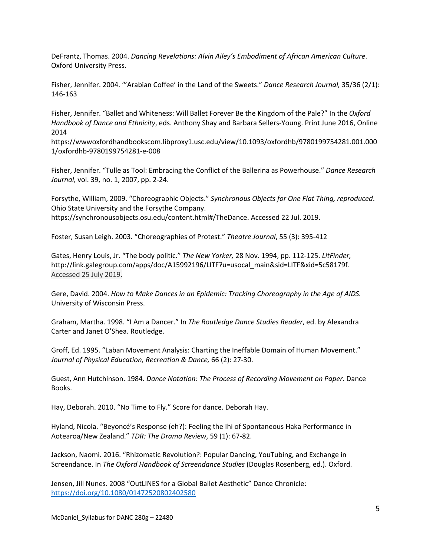DeFrantz, Thomas. 2004. *Dancing Revelations: Alvin Ailey's Embodiment of African American Culture*. Oxford University Press.

Fisher, Jennifer. 2004. "'Arabian Coffee' in the Land of the Sweets." *Dance Research Journal,* 35/36 (2/1): 146-163

Fisher, Jennifer. "Ballet and Whiteness: Will Ballet Forever Be the Kingdom of the Pale?" In the *Oxford Handbook of Dance and Ethnicity*, eds. Anthony Shay and Barbara Sellers-Young. Print June 2016, Online 2014

https://wwwoxfordhandbookscom.libproxy1.usc.edu/view/10.1093/oxfordhb/9780199754281.001.000 1/oxfordhb-9780199754281-e-008

Fisher, Jennifer. "Tulle as Tool: Embracing the Conflict of the Ballerina as Powerhouse." *Dance Research Journal,* vol. 39, no. 1, 2007, pp. 2-24.

Forsythe, William, 2009. "Choreographic Objects." *Synchronous Objects for One Flat Thing, reproduced*. Ohio State University and the Forsythe Company. https://synchronousobjects.osu.edu/content.html#/TheDance. Accessed 22 Jul. 2019.

Foster, Susan Leigh. 2003. "Choreographies of Protest." *Theatre Journal*, 55 (3): 395-412

Gates, Henry Louis, Jr. "The body politic." *The New Yorker,* 28 Nov. 1994, pp. 112-125. *LitFinder,*  http://link.galegroup.com/apps/doc/A15992196/LITF?u=usocal\_main&sid=LITF&xid=5c58179f. Accessed 25 July 2019.

Gere, David. 2004. *How to Make Dances in an Epidemic: Tracking Choreography in the Age of AIDS.*  University of Wisconsin Press.

Graham, Martha. 1998. "I Am a Dancer." In *The Routledge Dance Studies Reader*, ed. by Alexandra Carter and Janet O'Shea. Routledge.

Groff, Ed. 1995. "Laban Movement Analysis: Charting the Ineffable Domain of Human Movement." *Journal of Physical Education, Recreation & Dance,* 66 (2): 27-30.

Guest, Ann Hutchinson. 1984. *Dance Notation: The Process of Recording Movement on Paper*. Dance Books.

Hay, Deborah. 2010. "No Time to Fly." Score for dance. Deborah Hay.

Hyland, Nicola. "Beyoncé's Response (eh?): Feeling the Ihi of Spontaneous Haka Performance in Aotearoa/New Zealand." *TDR: The Drama Review*, 59 (1): 67-82.

Jackson, Naomi. 2016. "Rhizomatic Revolution?: Popular Dancing, YouTubing, and Exchange in Screendance. In *The Oxford Handbook of Screendance Studies* (Douglas Rosenberg, ed.). Oxford.

Jensen, Jill Nunes. 2008 "OutLINES for a Global Ballet Aesthetic" Dance Chronicle: https://doi.org/10.1080/01472520802402580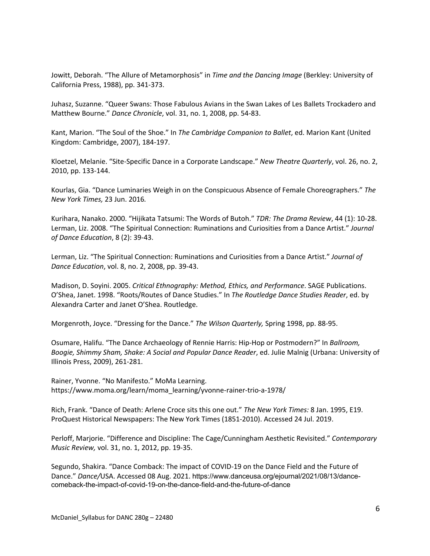Jowitt, Deborah. "The Allure of Metamorphosis" in *Time and the Dancing Image* (Berkley: University of California Press, 1988), pp. 341-373.

Juhasz, Suzanne. "Queer Swans: Those Fabulous Avians in the Swan Lakes of Les Ballets Trockadero and Matthew Bourne." *Dance Chronicle*, vol. 31, no. 1, 2008, pp. 54-83.

Kant, Marion. "The Soul of the Shoe." In *The Cambridge Companion to Ballet*, ed. Marion Kant (United Kingdom: Cambridge, 2007), 184-197.

Kloetzel, Melanie. "Site-Specific Dance in a Corporate Landscape." *New Theatre Quarterly*, vol. 26, no. 2, 2010, pp. 133-144.

Kourlas, Gia. "Dance Luminaries Weigh in on the Conspicuous Absence of Female Choreographers." *The New York Times,* 23 Jun. 2016*.* 

Kurihara, Nanako. 2000. "Hijikata Tatsumi: The Words of Butoh." *TDR: The Drama Review*, 44 (1): 10-28. Lerman, Liz. 2008. "The Spiritual Connection: Ruminations and Curiosities from a Dance Artist." *Journal of Dance Education*, 8 (2): 39-43.

Lerman, Liz. "The Spiritual Connection: Ruminations and Curiosities from a Dance Artist." *Journal of Dance Education*, vol. 8, no. 2, 2008, pp. 39-43.

Madison, D. Soyini. 2005. *Critical Ethnography: Method, Ethics, and Performance*. SAGE Publications. O'Shea, Janet. 1998. "Roots/Routes of Dance Studies." In *The Routledge Dance Studies Reader*, ed. by Alexandra Carter and Janet O'Shea. Routledge.

Morgenroth, Joyce. "Dressing for the Dance." *The Wilson Quarterly,* Spring 1998, pp. 88-95.

Osumare, Halifu. "The Dance Archaeology of Rennie Harris: Hip-Hop or Postmodern?" In *Ballroom, Boogie, Shimmy Sham, Shake: A Social and Popular Dance Reader*, ed. Julie Malnig (Urbana: University of Illinois Press, 2009), 261-281.

Rainer, Yvonne. "No Manifesto." MoMa Learning. https://www.moma.org/learn/moma\_learning/yvonne-rainer-trio-a-1978/

Rich, Frank. "Dance of Death: Arlene Croce sits this one out." *The New York Times:* 8 Jan. 1995, E19. ProQuest Historical Newspapers: The New York Times (1851-2010). Accessed 24 Jul. 2019.

Perloff, Marjorie. "Difference and Discipline: The Cage/Cunningham Aesthetic Revisited." *Contemporary Music Review,* vol. 31, no. 1, 2012, pp. 19-35.

Segundo, Shakira. "Dance Comback: The impact of COVID-19 on the Dance Field and the Future of Dance." *Dance/*USA. Accessed 08 Aug. 2021. https://www.danceusa.org/ejournal/2021/08/13/dancecomeback-the-impact-of-covid-19-on-the-dance-field-and-the-future-of-dance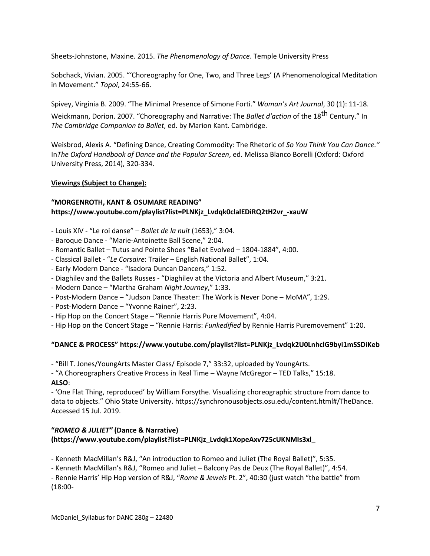Sheets-Johnstone, Maxine. 2015. *The Phenomenology of Dance*. Temple University Press

Sobchack, Vivian. 2005. "'Choreography for One, Two, and Three Legs' (A Phenomenological Meditation in Movement." *Topoi*, 24:55-66.

Spivey, Virginia B. 2009. "The Minimal Presence of Simone Forti." *Woman's Art Journal*, 30 (1): 11-18.

Weickmann, Dorion. 2007. "Choreography and Narrative: The *Ballet d'action* of the 18<sup>th</sup> Century." In *The Cambridge Companion to Ballet*, ed. by Marion Kant. Cambridge.

Weisbrod, Alexis A. "Defining Dance, Creating Commodity: The Rhetoric of *So You Think You Can Dance."*  In*The Oxford Handbook of Dance and the Popular Screen*, ed. Melissa Blanco Borelli (Oxford: Oxford University Press, 2014), 320-334.

# **Viewings (Subject to Change):**

# **"MORGENROTH, KANT & OSUMARE READING" https://www.youtube.com/playlist?list=PLNKjz\_Lvdqk0clalEDiRQ2tH2vr\_-xauW**

- Louis XIV "Le roi danse" *Ballet de la nuit* (1653)," 3:04.
- Baroque Dance "Marie-Antoinette Ball Scene," 2:04.
- Romantic Ballet Tutus and Pointe Shoes "Ballet Evolved 1804-1884", 4:00.
- Classical Ballet "*Le Corsaire*: Trailer English National Ballet", 1:04.
- Early Modern Dance "Isadora Duncan Dancers," 1:52.
- Diaghilev and the Ballets Russes "Diaghilev at the Victoria and Albert Museum," 3:21.
- Modern Dance "Martha Graham *Night Journey*," 1:33.
- Post-Modern Dance "Judson Dance Theater: The Work is Never Done MoMA", 1:29.
- Post-Modern Dance "Yvonne Rainer", 2:23.
- Hip Hop on the Concert Stage "Rennie Harris Pure Movement", 4:04.
- Hip Hop on the Concert Stage "Rennie Harris: *Funkedified* by Rennie Harris Puremovement" 1:20.

# **"DANCE & PROCESS" https://www.youtube.com/playlist?list=PLNKjz\_Lvdqk2U0LnhclG9byi1mSSDiKeb**

- "Bill T. Jones/YoungArts Master Class/ Episode 7," 33:32, uploaded by YoungArts.

- "A Choreographers Creative Process in Real Time – Wayne McGregor – TED Talks," 15:18. **ALSO**:

- 'One Flat Thing, reproduced' by William Forsythe. Visualizing choreographic structure from dance to data to objects." Ohio State University. https://synchronousobjects.osu.edu/content.html#/TheDance. Accessed 15 Jul. 2019.

# **"***ROMEO & JULIET"* **(Dance & Narrative) (https://www.youtube.com/playlist?list=PLNKjz\_Lvdqk1XopeAxv725cUKNMIs3xl\_**

- Kenneth MacMillan's R&J, "An introduction to Romeo and Juliet (The Royal Ballet)", 5:35.

- Kenneth MacMillan's R&J, "Romeo and Juliet – Balcony Pas de Deux (The Royal Ballet)", 4:54.

- Rennie Harris' Hip Hop version of R&J, "*Rome & Jewels* Pt. 2", 40:30 (just watch "the battle" from (18:00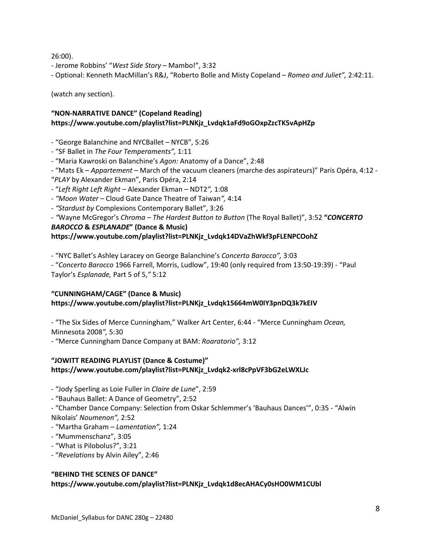26:00).

- Jerome Robbins' "*West Side Story* – Mambo!", 3:32

- Optional: Kenneth MacMillan's R&J, "Roberto Bolle and Misty Copeland – *Romeo and Juliet",* 2:42:11.

(watch any section).

# **"NON-NARRATIVE DANCE" (Copeland Reading) https://www.youtube.com/playlist?list=PLNKjz\_Lvdqk1aFd9oGOxpZzcTK5vApHZp**

- "George Balanchine and NYCBallet – NYCB", 5:26

- "SF Ballet in *The Four Temperaments",* 1:11

- "Maria Kawroski on Balanchine's *Agon:* Anatomy of a Dance", 2:48

- "Mats Ek – *Appartement –* March of the vacuum cleaners (marche des aspirateurs)" Paris Opéra, 4:12 - "*PLAY* by Alexander Ekman", Paris Opéra, 2:14

- "*Left Right Left Right* – Alexander Ekman – NDT2*",* 1:08

*- "Moon Water* – Cloud Gate Dance Theatre of Taiwan*",* 4:14

*- "Stardust by* Complexions Contemporary Ballet", 3:26

*- "*Wayne McGregor's *Chroma – The Hardest Button to Button* (The Royal Ballet)", 3:52 **"***CONCERTO BAROCCO* **&** *ESPLANADE***" (Dance & Music)**

## **https://www.youtube.com/playlist?list=PLNKjz\_Lvdqk14DVaZhWkf3pFLENPCOohZ**

- "NYC Ballet's Ashley Laracey on George Balanchine's *Concerto Barocco",* 3:03

- "*Concerto Barocco* 1966 Farrell, Morris, Ludlow", 19:40 (only required from 13:50-19:39) - "Paul Taylor's *Esplanade,* Part 5 of 5,*"* 5:12

# **"CUNNINGHAM/CAGE" (Dance & Music) https://www.youtube.com/playlist?list=PLNKjz\_Lvdqk15664mW0IY3pnDQ3k7kEIV**

- "The Six Sides of Merce Cunningham," Walker Art Center, 6:44 - "Merce Cunningham *Ocean,*  Minnesota 2008*",* 5:30

- "Merce Cunningham Dance Company at BAM: *Roaratorio",* 3:12

# **"JOWITT READING PLAYLIST (Dance & Costume)" https://www.youtube.com/playlist?list=PLNKjz\_Lvdqk2-xrl8cPpVF3bG2eLWXLJc**

- "Jody Sperling as Loie Fuller in *Claire de Lune*", 2:59

- "Bauhaus Ballet: A Dance of Geometry", 2:52

- "Chamber Dance Company: Selection from Oskar Schlemmer's 'Bauhaus Dances'", 0:35 - "Alwin Nikolais' *Noumenon",* 2:52

- "Martha Graham *Lamentation",* 1:24
- "Mummenschanz", 3:05
- "What is Pilobolus?", 3:21
- "*Revelations* by Alvin Ailey", 2:46

## **"BEHIND THE SCENES OF DANCE"**

**https://www.youtube.com/playlist?list=PLNKjz\_Lvdqk1d8ecAHACy0sHO0WM1CUbl**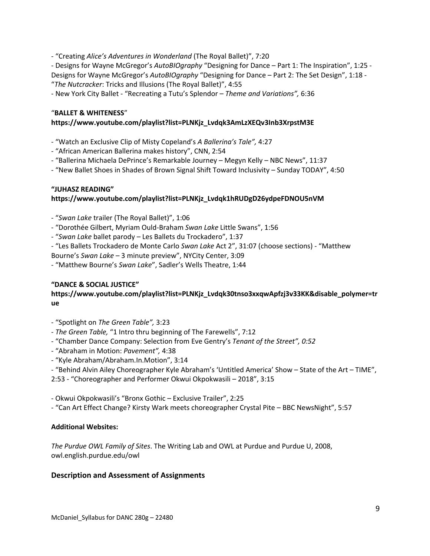- "Creating *Alice's Adventures in Wonderland* (The Royal Ballet)", 7:20

- Designs for Wayne McGregor's *AutoBIOgraphy* "Designing for Dance – Part 1: The Inspiration", 1:25 - Designs for Wayne McGregor's *AutoBIOgraphy* "Designing for Dance – Part 2: The Set Design", 1:18 - "*The Nutcracker*: Tricks and Illusions (The Royal Ballet)", 4:55

- New York City Ballet - "Recreating a Tutu's Splendor – *Theme and Variations",* 6:36

## "**BALLET & WHITENESS**"

## **https://www.youtube.com/playlist?list=PLNKjz\_Lvdqk3AmLzXEQv3Inb3XrpstM3E**

- "Watch an Exclusive Clip of Misty Copeland's *A Ballerina's Tale",* 4:27

- "African American Ballerina makes history", CNN, 2:54

- "Ballerina Michaela DePrince's Remarkable Journey – Megyn Kelly – NBC News", 11:37

- "New Ballet Shoes in Shades of Brown Signal Shift Toward Inclusivity – Sunday TODAY", 4:50

## **"JUHASZ READING"**

## **https://www.youtube.com/playlist?list=PLNKjz\_Lvdqk1hRUDgD26ydpeFDNOU5nVM**

- "*Swan Lake* trailer (The Royal Ballet)", 1:06

- "Dorothée Gilbert, Myriam Ould-Braham *Swan Lake* Little Swans", 1:56
- "*Swan Lake* ballet parody Les Ballets du Trockadero", 1:37
- "Les Ballets Trockadero de Monte Carlo *Swan Lake* Act 2", 31:07 (choose sections) "Matthew

Bourne's *Swan Lake* – 3 minute preview", NYCity Center, 3:09

- "Matthew Bourne's *Swan Lake*", Sadler's Wells Theatre, 1:44

#### **"DANCE & SOCIAL JUSTICE"**

## **https://www.youtube.com/playlist?list=PLNKjz\_Lvdqk30tnso3xxqwApfzj3v33KK&disable\_polymer=tr ue**

- "Spotlight on *The Green Table",* 3:23
- *The Green Table,* "1 Intro thru beginning of The Farewells", 7:12
- "Chamber Dance Company: Selection from Eve Gentry's *Tenant of the Street", 0:52*
- *-* "Abraham in Motion: *Pavement",* 4:38
- "Kyle Abraham/Abraham.In.Motion", 3:14
- "Behind Alvin Ailey Choreographer Kyle Abraham's 'Untitled America' Show State of the Art TIME",

2:53 - "Choreographer and Performer Okwui Okpokwasili – 2018", 3:15

- Okwui Okpokwasili's "Bronx Gothic Exclusive Trailer", 2:25
- "Can Art Effect Change? Kirsty Wark meets choreographer Crystal Pite BBC NewsNight", 5:57

## **Additional Websites:**

*The Purdue OWL Family of Sites*. The Writing Lab and OWL at Purdue and Purdue U, 2008, owl.english.purdue.edu/owl

## **Description and Assessment of Assignments**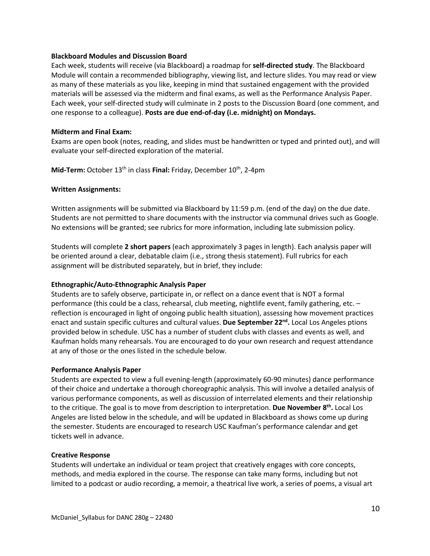## **Blackboard Modules and Discussion Board**

Each week, students will receive (via Blackboard) a roadmap for **self-directed study**. The Blackboard Module will contain a recommended bibliography, viewing list, and lecture slides. You may read or view as many of these materials as you like, keeping in mind that sustained engagement with the provided materials will be assessed via the midterm and final exams, as well as the Performance Analysis Paper. Each week, your self-directed study will culminate in 2 posts to the Discussion Board (one comment, and one response to a colleague). **Posts are due end-of-day (i.e. midnight) on Mondays.**

## **Midterm and Final Exam:**

Exams are open book (notes, reading, and slides must be handwritten or typed and printed out), and will evaluate your self-directed exploration of the material.

Mid-Term: October 13<sup>th</sup> in class **Final:** Friday, December 10<sup>th</sup>, 2-4pm

## **Written Assignments:**

Written assignments will be submitted via Blackboard by 11:59 p.m. (end of the day) on the due date. Students are not permitted to share documents with the instructor via communal drives such as Google. No extensions will be granted; see rubrics for more information, including late submission policy.

Students will complete **2 short papers** (each approximately 3 pages in length). Each analysis paper will be oriented around a clear, debatable claim (i.e., strong thesis statement). Full rubrics for each assignment will be distributed separately, but in brief, they include:

## **Ethnographic/Auto-Ethnographic Analysis Paper**

Students are to safely observe, participate in, or reflect on a dance event that is NOT a formal performance (this could be a class, rehearsal, club meeting, nightlife event, family gathering, etc. – reflection is encouraged in light of ongoing public health situation), assessing how movement practices enact and sustain specific cultures and cultural values. **Due September 22nd.** Local Los Angeles ptions provided below in schedule. USC has a number of student clubs with classes and events as well, and Kaufman holds many rehearsals. You are encouraged to do your own research and request attendance at any of those or the ones listed in the schedule below.

#### **Performance Analysis Paper**

Students are expected to view a full evening-length (approximately 60-90 minutes) dance performance of their choice and undertake a thorough choreographic analysis. This will involve a detailed analysis of various performance components, as well as discussion of interrelated elements and their relationship to the critique. The goal is to move from description to interpretation. **Due November 8th.** Local Los Angeles are listed below in the schedule, and will be updated in Blackboard as shows come up during the semester. Students are encouraged to research USC Kaufman's performance calendar and get tickets well in advance.

#### **Creative Response**

Students will undertake an individual or team project that creatively engages with core concepts, methods, and media explored in the course. The response can take many forms, including but not limited to a podcast or audio recording, a memoir, a theatrical live work, a series of poems, a visual art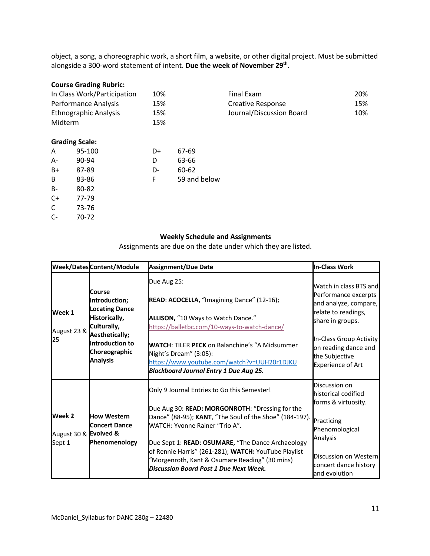object, a song, a choreographic work, a short film, a website, or other digital project. Must be submitted alongside a 300-word statement of intent. **Due the week of November 29th.**

#### **Course Grading Rubric:**

| In Class Work/Participation  |                       | 10% |              | Final Exam               | 20% |
|------------------------------|-----------------------|-----|--------------|--------------------------|-----|
| Performance Analysis         |                       | 15% |              | <b>Creative Response</b> | 15% |
| <b>Ethnographic Analysis</b> |                       | 15% |              | Journal/Discussion Board | 10% |
| Midterm                      |                       | 15% |              |                          |     |
|                              | <b>Grading Scale:</b> |     |              |                          |     |
| A                            | 95-100                | D+  | 67-69        |                          |     |
| А-                           | 90-94                 | D   | 63-66        |                          |     |
| B+                           | 87-89                 | D-  | 60-62        |                          |     |
| В                            | 83-86                 | F   | 59 and below |                          |     |
| В-                           | 80-82                 |     |              |                          |     |
| C+                           | 77-79                 |     |              |                          |     |
| С                            | 73-76                 |     |              |                          |     |
| C-                           | 70-72                 |     |              |                          |     |

## **Weekly Schedule and Assignments**

Assignments are due on the date under which they are listed.

|                                           | Week/Dates Content/Module                                                                                                                                 | <b>Assignment/Due Date</b>                                                                                                                                                                                                                                                                                                                                                                                  | <b>In-Class Work</b>                                                                                                                                                                                                |
|-------------------------------------------|-----------------------------------------------------------------------------------------------------------------------------------------------------------|-------------------------------------------------------------------------------------------------------------------------------------------------------------------------------------------------------------------------------------------------------------------------------------------------------------------------------------------------------------------------------------------------------------|---------------------------------------------------------------------------------------------------------------------------------------------------------------------------------------------------------------------|
| Week 1<br>August 23 &<br>25               | Course<br>Introduction;<br><b>Locating Dance</b><br>Historically,<br>Culturally,<br>Aesthetically;<br>Introduction to<br>Choreographic<br><b>Analysis</b> | Due Aug 25:<br>READ: ACOCELLA, "Imagining Dance" (12-16);<br>ALLISON, "10 Ways to Watch Dance."<br>https://balletbc.com/10-ways-to-watch-dance/<br><b>WATCH: TILER PECK on Balanchine's "A Midsummer</b><br>Night's Dream" (3:05):<br>https://www.youtube.com/watch?v=UUH20r1DJKU<br><b>Blackboard Journal Entry 1 Due Aug 25.</b>                                                                          | Watch in class BTS and<br>Performance excerpts<br>and analyze, compare,<br>relate to readings,<br>share in groups.<br>In-Class Group Activity<br>on reading dance and<br>the Subjective<br><b>Experience of Art</b> |
| Week 2<br>August 30 & Evolved &<br>Sept 1 | <b>How Western</b><br><b>Concert Dance</b><br>Phenomenology                                                                                               | Only 9 Journal Entries to Go this Semester!<br>Due Aug 30: READ: MORGONROTH: "Dressing for the<br>Dance" (88-95); KANT, "The Soul of the Shoe" (184-197).<br>WATCH: Yvonne Rainer "Trio A".<br>Due Sept 1: READ: OSUMARE, "The Dance Archaeology<br>of Rennie Harris" (261-281); WATCH: YouTube Playlist<br>"Morgenroth, Kant & Osumare Reading" (30 mins)<br><b>Discussion Board Post 1 Due Next Week.</b> | Discussion on<br>historical codified<br>forms & virtuosity.<br>Practicing<br>Phenomological<br>Analysis<br>Discussion on Western<br>concert dance history<br>and evolution                                          |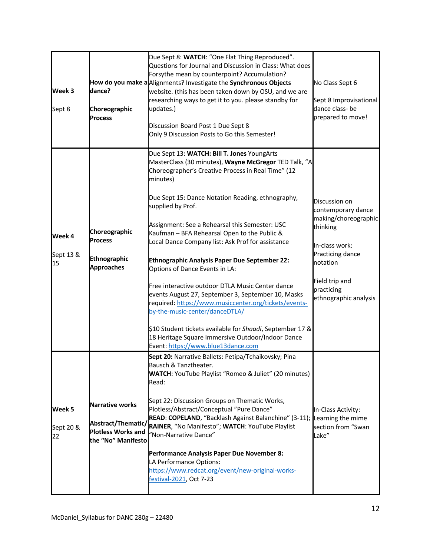| Week 3<br>Sept 8          | dance?<br>Choreographic<br><b>Process</b>                                                       | Due Sept 8: WATCH: "One Flat Thing Reproduced".<br>Questions for Journal and Discussion in Class: What does<br>Forsythe mean by counterpoint? Accumulation?<br>How do you make a Alignments? Investigate the Synchronous Objects<br>website. (this has been taken down by OSU, and we are<br>researching ways to get it to you. please standby for<br>updates.)<br>Discussion Board Post 1 Due Sept 8<br>Only 9 Discussion Posts to Go this Semester!                                                                                                                                                                                                                                                                                                                                                                                                          | No Class Sept 6<br>Sept 8 Improvisational<br>dance class- be<br>prepared to move!                                                                                                  |
|---------------------------|-------------------------------------------------------------------------------------------------|----------------------------------------------------------------------------------------------------------------------------------------------------------------------------------------------------------------------------------------------------------------------------------------------------------------------------------------------------------------------------------------------------------------------------------------------------------------------------------------------------------------------------------------------------------------------------------------------------------------------------------------------------------------------------------------------------------------------------------------------------------------------------------------------------------------------------------------------------------------|------------------------------------------------------------------------------------------------------------------------------------------------------------------------------------|
| Week 4<br>Sept 13 &<br>15 | Choreographic<br><b>Process</b><br>Ethnographic<br><b>Approaches</b>                            | Due Sept 13: WATCH: Bill T. Jones YoungArts<br>MasterClass (30 minutes), Wayne McGregor TED Talk, "A<br>Choreographer's Creative Process in Real Time" (12<br>minutes)<br>Due Sept 15: Dance Notation Reading, ethnography,<br>supplied by Prof.<br>Assignment: See a Rehearsal this Semester: USC<br>Kaufman - BFA Rehearsal Open to the Public &<br>Local Dance Company list: Ask Prof for assistance<br><b>Ethnographic Analysis Paper Due September 22:</b><br>Options of Dance Events in LA:<br>Free interactive outdoor DTLA Music Center dance<br>events August 27, September 3, September 10, Masks<br>required: https://www.musiccenter.org/tickets/events-<br>by-the-music-center/danceDTLA/<br>\$10 Student tickets available for Shaadi, September 17 &<br>18 Heritage Square Immersive Outdoor/Indoor Dance<br>Event: https://www.blue13dance.com | Discussion on<br>contemporary dance<br>making/choreographic<br>thinking<br>In-class work:<br>Practicing dance<br>notation<br>Field trip and<br>practicing<br>ethnographic analysis |
| Week 5<br>Sept 20 &<br>22 | <b>Narrative works</b><br>Abstract/Thematic/<br><b>Plotless Works and</b><br>the "No" Manifesto | Sept 20: Narrative Ballets: Petipa/Tchaikovsky; Pina<br>Bausch & Tanztheater.<br><b>WATCH:</b> YouTube Playlist "Romeo & Juliet" (20 minutes)<br>Read:<br>Sept 22: Discussion Groups on Thematic Works,<br>Plotless/Abstract/Conceptual "Pure Dance"<br>READ: COPELAND, "Backlash Against Balanchine" (3-11);<br>RAINER, "No Manifesto"; WATCH: YouTube Playlist<br>"Non-Narrative Dance"<br>Performance Analysis Paper Due November 8:<br>LA Performance Options:<br>https://www.redcat.org/event/new-original-works-<br>festival-2021, Oct 7-23                                                                                                                                                                                                                                                                                                              | In-Class Activity:<br>Learning the mime<br>section from "Swan<br>Lake"                                                                                                             |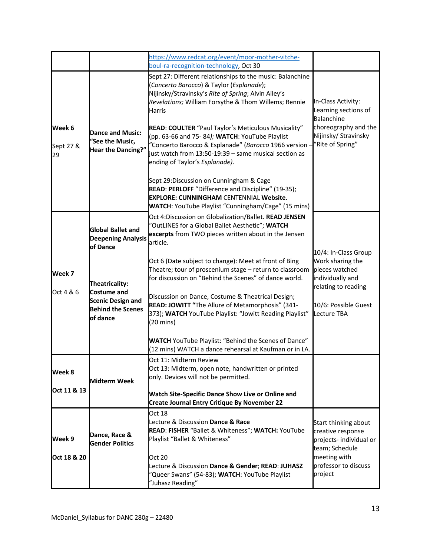|                           |                                                                                                                                                                        | https://www.redcat.org/event/moor-mother-vitche-<br>boul-ra-recognition-technology, Oct 30                                                                                                                                                                                                                                                                                                                                                                                                                                                                                                                                                                                                                     |                                                                                                                                              |
|---------------------------|------------------------------------------------------------------------------------------------------------------------------------------------------------------------|----------------------------------------------------------------------------------------------------------------------------------------------------------------------------------------------------------------------------------------------------------------------------------------------------------------------------------------------------------------------------------------------------------------------------------------------------------------------------------------------------------------------------------------------------------------------------------------------------------------------------------------------------------------------------------------------------------------|----------------------------------------------------------------------------------------------------------------------------------------------|
| Week 6<br>Sept 27 &<br>29 | <b>Dance and Music:</b><br>"See the Music,<br>Hear the Dancing?"                                                                                                       | Sept 27: Different relationships to the music: Balanchine<br>(Concerto Barocco) & Taylor (Esplanade);<br>Nijinsky/Stravinsky's Rite of Spring; Alvin Ailey's<br>Revelations; William Forsythe & Thom Willems; Rennie<br><b>Harris</b><br>READ: COULTER "Paul Taylor's Meticulous Musicality"<br>(pp. 63-66 and 75-84); WATCH: YouTube Playlist<br>"Concerto Barocco & Esplanade" (Barocco 1966 version -<br>just watch from 13:50-19:39 - same musical section as<br>ending of Taylor's Esplanade).<br>Sept 29: Discussion on Cunningham & Cage<br>READ: PERLOFF "Difference and Discipline" (19-35);<br><b>EXPLORE: CUNNINGHAM CENTENNIAL Website.</b><br>WATCH: YouTube Playlist "Cunningham/Cage" (15 mins) | In-Class Activity:<br>Learning sections of<br><b>Balanchine</b><br>choreography and the<br>Nijinsky/ Stravinsky<br>"Rite of Spring"          |
| Week 7<br>Oct 4 & 6       | <b>Global Ballet and</b><br><b>Deepening Analysis</b><br>of Dance<br>Theatricality:<br>Costume and<br><b>Scenic Design and</b><br><b>Behind the Scenes</b><br>of dance | Oct 4: Discussion on Globalization/Ballet. READ JENSEN<br>"OutLINES for a Global Ballet Aesthetic"; WATCH<br>excerpts from TWO pieces written about in the Jensen<br>article.<br>Oct 6 (Date subject to change): Meet at front of Bing<br>Theatre; tour of proscenium stage - return to classroom<br>for discussion on "Behind the Scenes" of dance world.<br>Discussion on Dance, Costume & Theatrical Design;<br>READ: JOWITT "The Allure of Metamorphosis" (341-<br>373); WATCH YouTube Playlist: "Jowitt Reading Playlist"<br>$(20 \text{ mins})$<br><b>WATCH</b> YouTube Playlist: "Behind the Scenes of Dance"<br>(12 mins) WATCH a dance rehearsal at Kaufman or in LA.                                 | 10/4: In-Class Group<br>Work sharing the<br>pieces watched<br>individually and<br>relating to reading<br>10/6: Possible Guest<br>Lecture TBA |
| Week 8<br>Oct 11 & 13     | <b>Midterm Week</b>                                                                                                                                                    | Oct 11: Midterm Review<br>Oct 13: Midterm, open note, handwritten or printed<br>only. Devices will not be permitted.<br>Watch Site-Specific Dance Show Live or Online and<br><b>Create Journal Entry Critique By November 22</b>                                                                                                                                                                                                                                                                                                                                                                                                                                                                               |                                                                                                                                              |
| Week 9<br>Oct 18 & 20     | Dance, Race &<br><b>Gender Politics</b>                                                                                                                                | Oct 18<br>Lecture & Discussion Dance & Race<br>READ: FISHER "Ballet & Whiteness"; WATCH: YouTube<br>Playlist "Ballet & Whiteness"<br>Oct 20<br>Lecture & Discussion Dance & Gender; READ: JUHASZ<br>"Queer Swans" (54-83); WATCH: YouTube Playlist<br>"Juhasz Reading"                                                                                                                                                                                                                                                                                                                                                                                                                                         | Start thinking about<br>creative response<br>projects- individual or<br>team; Schedule<br>meeting with<br>professor to discuss<br>project    |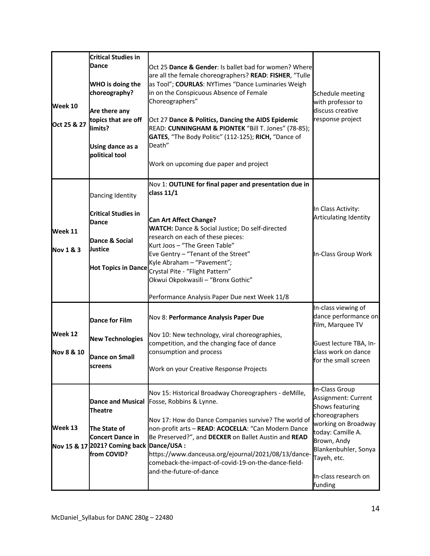|                       | <b>Critical Studies in</b>                |                                                         |                              |
|-----------------------|-------------------------------------------|---------------------------------------------------------|------------------------------|
|                       | <b>Dance</b>                              | Oct 25 Dance & Gender: Is ballet bad for women? Where   |                              |
|                       |                                           |                                                         |                              |
|                       |                                           | are all the female choreographers? READ: FISHER, "Tulle |                              |
|                       | WHO is doing the                          | as Tool"; COURLAS: NYTimes "Dance Luminaries Weigh      |                              |
|                       | choreography?                             | in on the Conspicuous Absence of Female                 | Schedule meeting             |
|                       |                                           | Choreographers"                                         | with professor to            |
| Week 10               |                                           |                                                         |                              |
|                       | Are there any                             |                                                         | discuss creative             |
|                       | topics that are off                       | Oct 27 Dance & Politics, Dancing the AIDS Epidemic      | response project             |
| Oct 25 & 27           | limits?                                   | READ: CUNNINGHAM & PIONTEK "Bill T. Jones" (78-85);     |                              |
|                       |                                           | GATES, "The Body Politic" (112-125); RICH, "Dance of    |                              |
|                       |                                           |                                                         |                              |
|                       | Using dance as a                          | Death"                                                  |                              |
|                       | political tool                            |                                                         |                              |
|                       |                                           | Work on upcoming due paper and project                  |                              |
|                       |                                           |                                                         |                              |
|                       |                                           | Nov 1: OUTLINE for final paper and presentation due in  |                              |
|                       |                                           | class 11/1                                              |                              |
|                       | Dancing Identity                          |                                                         |                              |
|                       |                                           |                                                         |                              |
|                       | <b>Critical Studies in</b>                |                                                         | In Class Activity:           |
|                       |                                           | <b>Can Art Affect Change?</b>                           | <b>Articulating Identity</b> |
|                       | <b>Dance</b>                              | WATCH: Dance & Social Justice; Do self-directed         |                              |
| Week 11               |                                           |                                                         |                              |
|                       | Dance & Social                            | research on each of these pieces:                       |                              |
| <b>Nov 1 &amp; 3</b>  | <b>Justice</b>                            | Kurt Joos - "The Green Table"                           |                              |
|                       |                                           | Eve Gentry - "Tenant of the Street"                     | In-Class Group Work          |
|                       |                                           | Kyle Abraham - "Pavement";                              |                              |
|                       | <b>Hot Topics in Dance</b>                | Crystal Pite - "Flight Pattern"                         |                              |
|                       |                                           |                                                         |                              |
|                       |                                           | Okwui Okpokwasili - "Bronx Gothic"                      |                              |
|                       |                                           |                                                         |                              |
|                       |                                           | Performance Analysis Paper Due next Week 11/8           |                              |
|                       |                                           |                                                         | In-class viewing of          |
|                       |                                           | Nov 8: Performance Analysis Paper Due                   | dance performance on         |
|                       | <b>Dance for Film</b>                     |                                                         | film, Marquee TV             |
| Week 12               |                                           |                                                         |                              |
|                       | <b>New Technologies</b>                   | Nov 10: New technology, viral choreographies,           |                              |
|                       |                                           | competition, and the changing face of dance             | Guest lecture TBA, In-       |
| <b>Nov 8 &amp; 10</b> |                                           | consumption and process                                 | class work on dance          |
|                       | <b>Dance on Small</b>                     |                                                         | for the small screen         |
|                       | screens                                   | Work on your Creative Response Projects                 |                              |
|                       |                                           |                                                         |                              |
|                       |                                           |                                                         |                              |
|                       |                                           | Nov 15: Historical Broadway Choreographers - deMille,   | In-Class Group               |
|                       |                                           |                                                         | Assignment: Current          |
|                       | <b>Dance and Musical</b>                  | Fosse, Robbins & Lynne.                                 | Shows featuring              |
|                       | <b>Theatre</b>                            |                                                         |                              |
|                       |                                           | Nov 17: How do Dance Companies survive? The world of    | choreographers               |
| Week 13               |                                           |                                                         | working on Broadway          |
|                       | The State of                              | non-profit arts - READ: ACOCELLA: "Can Modern Dance     | today: Camille A.            |
|                       | <b>Concert Dance in</b>                   | Be Preserved?", and DECKER on Ballet Austin and READ    | Brown, Andy                  |
|                       | Nov 15 & 17 2021? Coming back Dance/USA : |                                                         | Blankenbuhler, Sonya         |
|                       | from COVID?                               | https://www.danceusa.org/ejournal/2021/08/13/dance-     |                              |
|                       |                                           | comeback-the-impact-of-covid-19-on-the-dance-field-     | Tayeh, etc.                  |
|                       |                                           |                                                         |                              |
|                       |                                           | and-the-future-of-dance                                 | In-class research on         |
|                       |                                           |                                                         |                              |
|                       |                                           |                                                         | funding                      |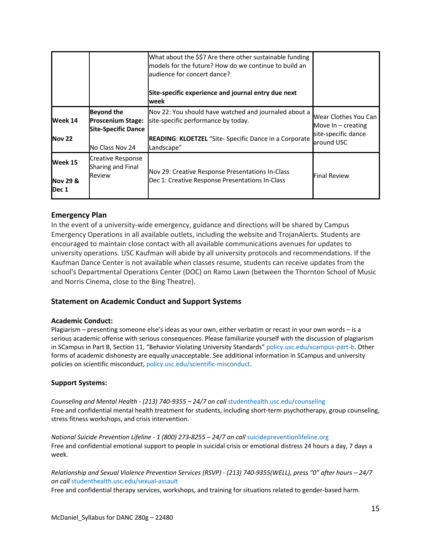|                                         |                                                                                                | What about the \$\$? Are there other sustainable funding<br>models for the future? How do we continue to build an<br>audience for concert dance?<br>Site-specific experience and journal entry due next<br>week |                                                                                   |
|-----------------------------------------|------------------------------------------------------------------------------------------------|-----------------------------------------------------------------------------------------------------------------------------------------------------------------------------------------------------------------|-----------------------------------------------------------------------------------|
| Week 14<br><b>Nov 22</b>                | <b>Beyond the</b><br><b>Proscenium Stage:</b><br><b>Site-Specific Dance</b><br>No Class Nov 24 | Nov 22: You should have watched and journaled about a<br>site-specific performance by today.<br>READING: KLOETZEL "Site- Specific Dance in a Corporate<br>Landscape"                                            | Wear Clothes You Can<br>Move $In - creating$<br>site-specific dance<br>around USC |
| Week 15<br><b>Nov 29 &amp;</b><br>Dec 1 | <b>Creative Response</b><br>Sharing and Final<br>Review                                        | Nov 29: Creative Response Presentations In-Class<br>Dec 1: Creative Response Presentations In-Class                                                                                                             | <b>Final Review</b>                                                               |

# **Emergency Plan**

In the event of a university-wide emergency, guidance and directions will be shared by Campus Emergency Operations in all available outlets, including the website and TrojanAlerts. Students are encouraged to maintain close contact with all available communications avenues for updates to university operations. USC Kaufman will abide by all university protocols and recommendations. If the Kaufman Dance Center is not available when classes resume, students can receive updates from the school's Departmental Operations Center (DOC) on Ramo Lawn (between the Thornton School of Music and Norris Cinema, close to the Bing Theatre).

## **Statement on Academic Conduct and Support Systems**

#### **Academic Conduct:**

Plagiarism – presenting someone else's ideas as your own, either verbatim or recast in your own words – is a serious academic offense with serious consequences. Please familiarize yourself with the discussion of plagiarism in SCampus in Part B, Section 11, "Behavior Violating University Standards" policy.usc.edu/scampus-part-b. Other forms of academic dishonesty are equally unacceptable. See additional information in SCampus and university policies on scientific misconduct, policy.usc.edu/scientific-misconduct.

#### **Support Systems:**

*Counseling and Mental Health - (213) 740-9355 – 24/7 on call* studenthealth.usc.edu/counseling Free and confidential mental health treatment for students, including short-term psychotherapy, group counseling, stress fitness workshops, and crisis intervention.

*National Suicide Prevention Lifeline - 1 (800) 273-8255 – 24/7 on call* suicidepreventionlifeline.org Free and confidential emotional support to people in suicidal crisis or emotional distress 24 hours a day, 7 days a week.

*Relationship and Sexual Violence Prevention Services (RSVP) - (213) 740-9355(WELL), press "0" after hours – 24/7 on call* studenthealth.usc.edu/sexual-assault

Free and confidential therapy services, workshops, and training for situations related to gender-based harm.